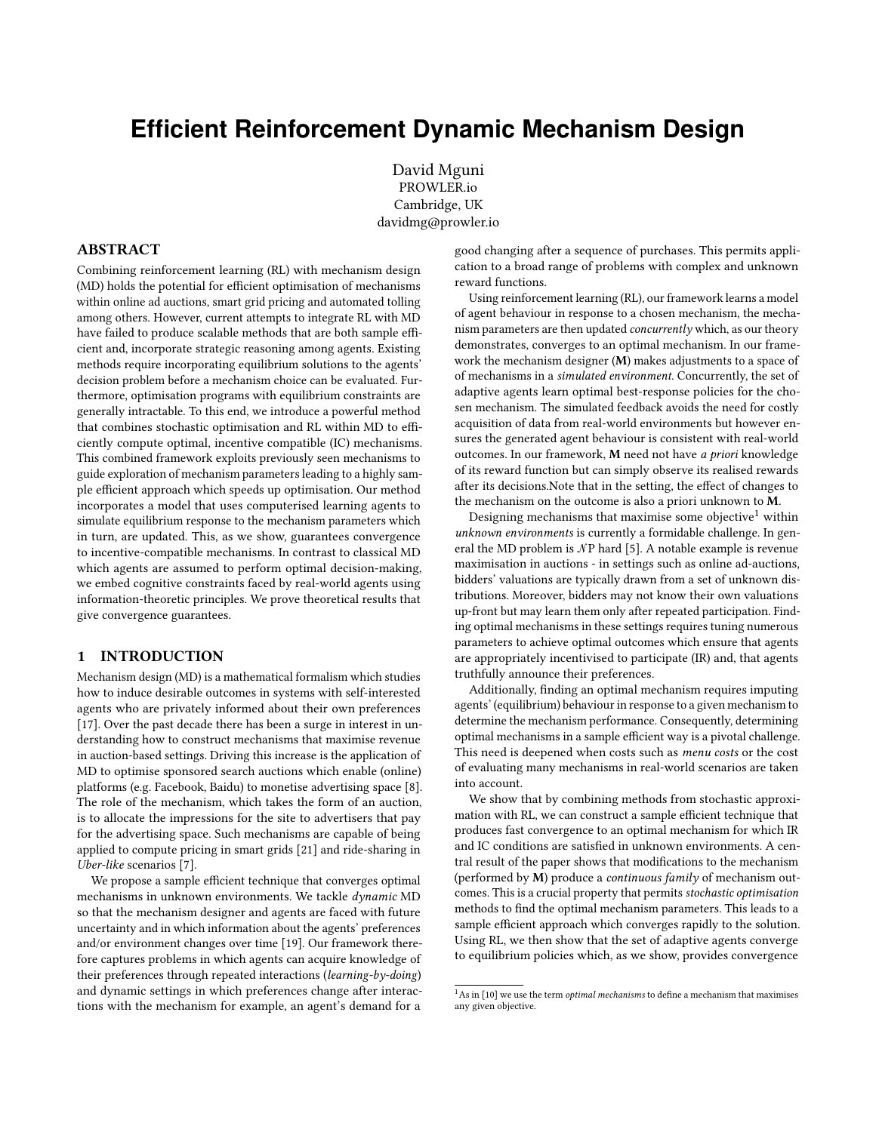# **Efficient Reinforcement Dynamic Mechanism Design**

David Mguni PROWLER.io Cambridge, UK davidmg@prowler.io

# ABSTRACT

Combining reinforcement learning (RL) with mechanism design (MD) holds the potential for efficient optimisation of mechanisms within online ad auctions, smart grid pricing and automated tolling among others. However, current attempts to integrate RL with MD have failed to produce scalable methods that are both sample efficient and, incorporate strategic reasoning among agents. Existing methods require incorporating equilibrium solutions to the agents' decision problem before a mechanism choice can be evaluated. Furthermore, optimisation programs with equilibrium constraints are generally intractable. To this end, we introduce a powerful method that combines stochastic optimisation and RL within MD to efficiently compute optimal, incentive compatible (IC) mechanisms. This combined framework exploits previously seen mechanisms to guide exploration of mechanism parameters leading to a highly sample efficient approach which speeds up optimisation. Our method incorporates a model that uses computerised learning agents to simulate equilibrium response to the mechanism parameters which in turn, are updated. This, as we show, guarantees convergence to incentive-compatible mechanisms. In contrast to classical MD which agents are assumed to perform optimal decision-making, we embed cognitive constraints faced by real-world agents using information-theoretic principles. We prove theoretical results that give convergence guarantees.

# 1 INTRODUCTION

Mechanism design (MD) is a mathematical formalism which studies how to induce desirable outcomes in systems with self-interested agents who are privately informed about their own preferences [\[17\]](#page-6-0). Over the past decade there has been a surge in interest in understanding how to construct mechanisms that maximise revenue in auction-based settings. Driving this increase is the application of MD to optimise sponsored search auctions which enable (online) platforms (e.g. Facebook, Baidu) to monetise advertising space [\[8\]](#page-6-1). The role of the mechanism, which takes the form of an auction, is to allocate the impressions for the site to advertisers that pay for the advertising space. Such mechanisms are capable of being applied to compute pricing in smart grids [\[21\]](#page-6-2) and ride-sharing in Uber-like scenarios [\[7\]](#page-6-3).

We propose a sample efficient technique that converges optimal mechanisms in unknown environments. We tackle dynamic MD so that the mechanism designer and agents are faced with future uncertainty and in which information about the agents' preferences and/or environment changes over time [\[19\]](#page-6-4). Our framework therefore captures problems in which agents can acquire knowledge of their preferences through repeated interactions (learning-by-doing) and dynamic settings in which preferences change after interactions with the mechanism for example, an agent's demand for a

good changing after a sequence of purchases. This permits application to a broad range of problems with complex and unknown reward functions.

Using reinforcement learning (RL), our framework learns a model of agent behaviour in response to a chosen mechanism, the mechanism parameters are then updated concurrently which, as our theory demonstrates, converges to an optimal mechanism. In our framework the mechanism designer (M) makes adjustments to a space of of mechanisms in a simulated environment. Concurrently, the set of adaptive agents learn optimal best-response policies for the chosen mechanism. The simulated feedback avoids the need for costly acquisition of data from real-world environments but however ensures the generated agent behaviour is consistent with real-world outcomes. In our framework, M need not have a priori knowledge of its reward function but can simply observe its realised rewards after its decisions.Note that in the setting, the effect of changes to the mechanism on the outcome is also a priori unknown to M.

Designing mechanisms that maximise some objective<sup>[1](#page-0-0)</sup> within unknown environments is currently a formidable challenge. In general the MD problem is NP hard [\[5\]](#page-6-5). A notable example is revenue maximisation in auctions - in settings such as online ad-auctions, bidders' valuations are typically drawn from a set of unknown distributions. Moreover, bidders may not know their own valuations up-front but may learn them only after repeated participation. Finding optimal mechanisms in these settings requires tuning numerous parameters to achieve optimal outcomes which ensure that agents are appropriately incentivised to participate (IR) and, that agents truthfully announce their preferences.

Additionally, finding an optimal mechanism requires imputing agents' (equilibrium) behaviour in response to a given mechanism to determine the mechanism performance. Consequently, determining optimal mechanisms in a sample efficient way is a pivotal challenge. This need is deepened when costs such as menu costs or the cost of evaluating many mechanisms in real-world scenarios are taken into account.

We show that by combining methods from stochastic approximation with RL, we can construct a sample efficient technique that produces fast convergence to an optimal mechanism for which IR and IC conditions are satisfied in unknown environments. A central result of the paper shows that modifications to the mechanism (performed by M) produce a continuous family of mechanism outcomes. This is a crucial property that permits stochastic optimisation methods to find the optimal mechanism parameters. This leads to a sample efficient approach which converges rapidly to the solution. Using RL, we then show that the set of adaptive agents converge to equilibrium policies which, as we show, provides convergence

<span id="page-0-0"></span> $^1\mathrm{As}$  in [\[10\]](#page-6-6) we use the term  $optimal$  mechanisms to define a mechanism that maximises any given objective.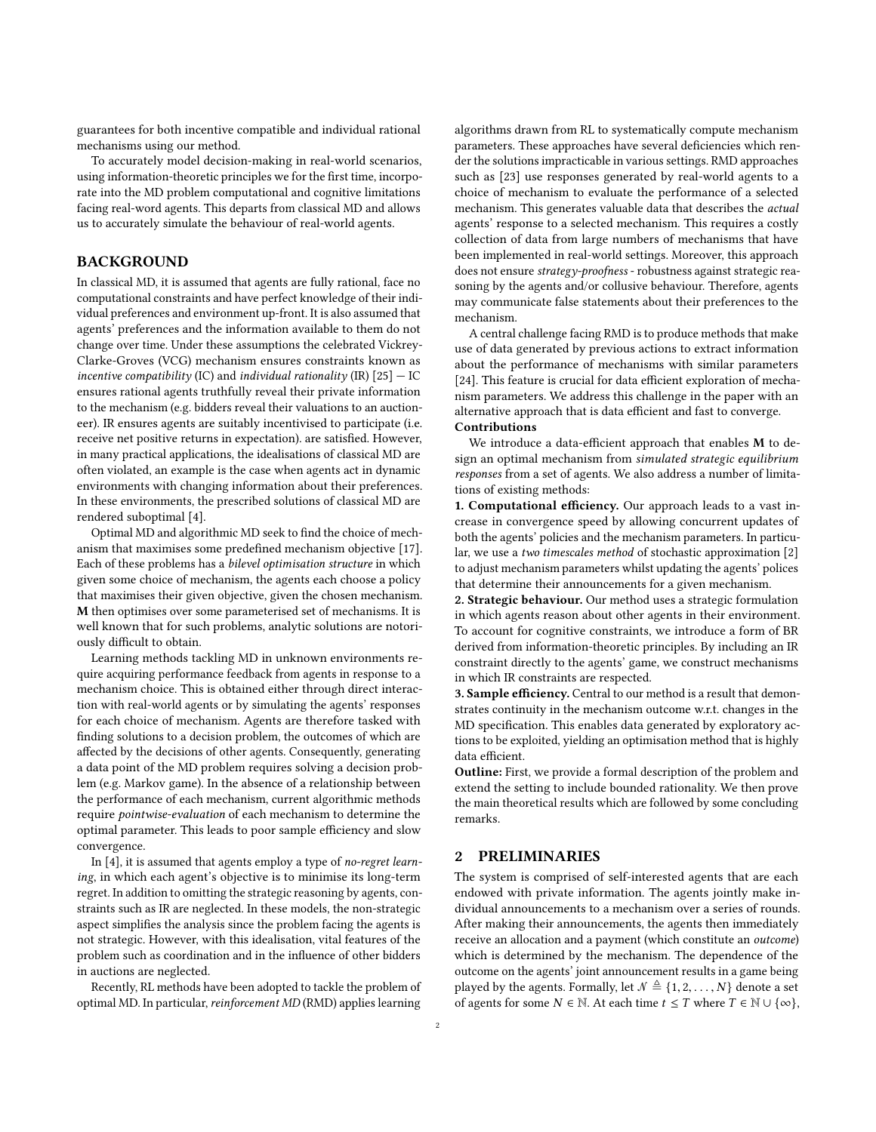guarantees for both incentive compatible and individual rational mechanisms using our method.

To accurately model decision-making in real-world scenarios, using information-theoretic principles we for the first time, incorporate into the MD problem computational and cognitive limitations facing real-word agents. This departs from classical MD and allows us to accurately simulate the behaviour of real-world agents.

# BACKGROUND

In classical MD, it is assumed that agents are fully rational, face no computational constraints and have perfect knowledge of their individual preferences and environment up-front. It is also assumed that agents' preferences and the information available to them do not change over time. Under these assumptions the celebrated Vickrey-Clarke-Groves (VCG) mechanism ensures constraints known as incentive compatibility (IC) and individual rationality (IR)  $[25]$  – IC ensures rational agents truthfully reveal their private information to the mechanism (e.g. bidders reveal their valuations to an auctioneer). IR ensures agents are suitably incentivised to participate (i.e. receive net positive returns in expectation). are satisfied. However, in many practical applications, the idealisations of classical MD are often violated, an example is the case when agents act in dynamic environments with changing information about their preferences. In these environments, the prescribed solutions of classical MD are rendered suboptimal [\[4\]](#page-6-8).

Optimal MD and algorithmic MD seek to find the choice of mechanism that maximises some predefined mechanism objective [\[17\]](#page-6-0). Each of these problems has a bilevel optimisation structure in which given some choice of mechanism, the agents each choose a policy that maximises their given objective, given the chosen mechanism. M then optimises over some parameterised set of mechanisms. It is well known that for such problems, analytic solutions are notoriously difficult to obtain.

Learning methods tackling MD in unknown environments require acquiring performance feedback from agents in response to a mechanism choice. This is obtained either through direct interaction with real-world agents or by simulating the agents' responses for each choice of mechanism. Agents are therefore tasked with finding solutions to a decision problem, the outcomes of which are affected by the decisions of other agents. Consequently, generating a data point of the MD problem requires solving a decision problem (e.g. Markov game). In the absence of a relationship between the performance of each mechanism, current algorithmic methods require pointwise-evaluation of each mechanism to determine the optimal parameter. This leads to poor sample efficiency and slow convergence.

In [\[4\]](#page-6-8), it is assumed that agents employ a type of no-regret learning, in which each agent's objective is to minimise its long-term regret. In addition to omitting the strategic reasoning by agents, constraints such as IR are neglected. In these models, the non-strategic aspect simplifies the analysis since the problem facing the agents is not strategic. However, with this idealisation, vital features of the problem such as coordination and in the influence of other bidders in auctions are neglected.

Recently, RL methods have been adopted to tackle the problem of optimal MD. In particular, reinforcement MD (RMD) applies learning algorithms drawn from RL to systematically compute mechanism parameters. These approaches have several deficiencies which render the solutions impracticable in various settings. RMD approaches such as [\[23\]](#page-6-9) use responses generated by real-world agents to a choice of mechanism to evaluate the performance of a selected mechanism. This generates valuable data that describes the actual agents' response to a selected mechanism. This requires a costly collection of data from large numbers of mechanisms that have been implemented in real-world settings. Moreover, this approach does not ensure strategy-proofness - robustness against strategic reasoning by the agents and/or collusive behaviour. Therefore, agents may communicate false statements about their preferences to the mechanism.

A central challenge facing RMD is to produce methods that make use of data generated by previous actions to extract information about the performance of mechanisms with similar parameters [\[24\]](#page-6-10). This feature is crucial for data efficient exploration of mechanism parameters. We address this challenge in the paper with an alternative approach that is data efficient and fast to converge. Contributions

#### We introduce a data-efficient approach that enables M to design an optimal mechanism from simulated strategic equilibrium responses from a set of agents. We also address a number of limitations of existing methods:

1. Computational efficiency. Our approach leads to a vast increase in convergence speed by allowing concurrent updates of both the agents' policies and the mechanism parameters. In particular, we use a two timescales method of stochastic approximation [\[2\]](#page-6-11) to adjust mechanism parameters whilst updating the agents' polices that determine their announcements for a given mechanism.

2. Strategic behaviour. Our method uses a strategic formulation in which agents reason about other agents in their environment. To account for cognitive constraints, we introduce a form of BR derived from information-theoretic principles. By including an IR constraint directly to the agents' game, we construct mechanisms in which IR constraints are respected.

3. Sample efficiency. Central to our method is a result that demonstrates continuity in the mechanism outcome w.r.t. changes in the MD specification. This enables data generated by exploratory actions to be exploited, yielding an optimisation method that is highly data efficient.

Outline: First, we provide a formal description of the problem and extend the setting to include bounded rationality. We then prove the main theoretical results which are followed by some concluding remarks.

# 2 PRELIMINARIES

The system is comprised of self-interested agents that are each endowed with private information. The agents jointly make individual announcements to a mechanism over a series of rounds. After making their announcements, the agents then immediately receive an allocation and a payment (which constitute an outcome) which is determined by the mechanism. The dependence of the outcome on the agents' joint announcement results in a game being played by the agents. Formally, let  $\mathcal{N}\triangleq\{1,2,\ldots,N\}$  denote a set of agents for some  $N \in \mathbb{N}$ . At each time  $t \leq T$  where  $T \in \mathbb{N} \cup \{ \infty \},$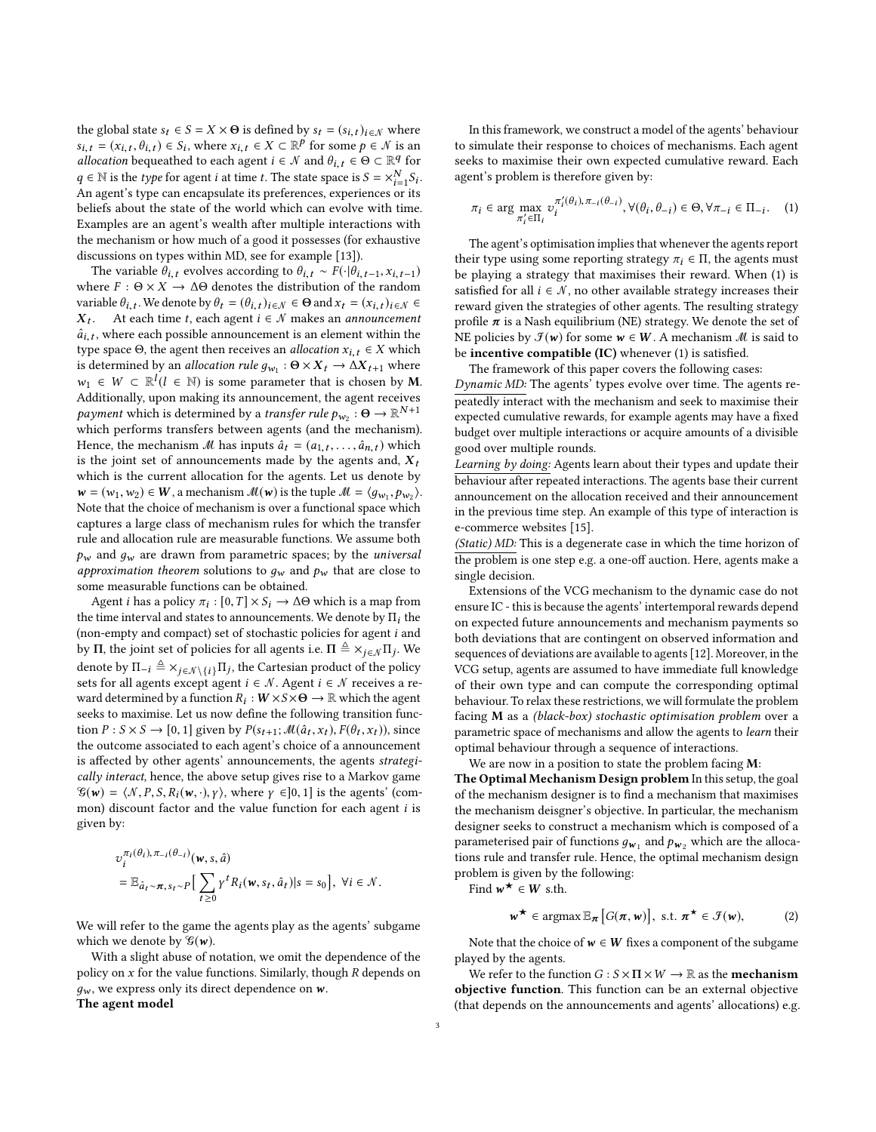the global state  $s_t \in S = X \times \Theta$  is defined by  $s_t = (s_{i,t})_{i \in \mathcal{N}}$  where  $s_{i,t} = (x_{i,t}, \theta_{i,t}) \in S_i$ , where  $x_{i,t} \in X \subset \mathbb{R}^p$  for some  $p \in \mathcal{N}$  is an allocation bequeathed to each agent  $i \in \mathcal{N}$  and  $\theta_{i,t} \in \Theta \subset \mathbb{R}^q$  for allocation bequeathed to each agent  $i \in \mathcal{N}$  and  $\theta_{i,t} \in \Theta \subset \mathbb{R}^q$  for  $a \in \mathbb{N}$  is the time for example is time to The state grace is  $S = \vee^N S$ .  $q \in \mathbb{N}$  is the type for agent *i* at time *t*. The state space is  $S = \times_{i=1}^{N} S_i$ .<br>An agent's type can encapsulate its preferences experiences or its  $q \in \mathbb{N}$  is the *type* for agent *i* at time *t*. The state space is  $S = \times_{i=1}^{\infty} S_i$ .<br>An agent's type can encapsulate its preferences, experiences or its beliefs about the state of the world which can evolve with time. Examples are an agent's wealth after multiple interactions with the mechanism or how much of a good it possesses (for exhaustive discussions on types within MD, see for example [\[13\]](#page-6-12)).

The variable  $\theta_{i,t}$  evolves according to  $\theta_{i,t} \sim F(\cdot | \theta_{i,t-1}, x_{i,t-1})$ where  $F : \Theta \times X \to \Delta\Theta$  denotes the distribution of the random variable  $\theta_{i,t}$ . We denote by  $\theta_t = (\theta_{i,t})_{i \in \mathcal{N}} \in \Theta$  and  $x_t = (x_{i,t})_{i \in \mathcal{N}} \in \mathbb{Y}$ .  $\hat{a}_{i,t}$ , where each possible announcement is an element within the  $\hat{a}_{i,t}$ , where each possible announcement is an element within the  $X_t$ . At each time t, each agent  $i \in \mathcal{N}$  makes an *announcement* type space  $\Theta$ , the agent then receives an *allocation*  $x_{i,t} \in X$  which is determined by an allocation rule  $g_{w_1}$ :  $\Theta \times X_t \to \Delta X_{t+1}$  where  $w_1 \in W \subset \mathbb{R}^l (l \in \mathbb{N})$  is some parameter that is chosen by **M**.<br>Additionally upon making its appearancement, the agent receives Additionally, upon making its announcement, the agent receives payment which is determined by a *transfer rule*  $p_{w_2}$ :  $\Theta \to \mathbb{R}^{N+1}$ <br>which performs transfers between agents (and the mechanism) which performs transfers between agents (and the mechanism). Hence, the mechanism M has inputs  $\hat{a}_t = (a_{1,t}, \ldots, \hat{a}_{n,t})$  which is the joint set of announcements made by the agents and  $\bf{Y}$ . is the joint set of announcements made by the agents and,  $X_t$ which is the current allocation for the agents. Let us denote by  $\mathbf{w} = (w_1, w_2) \in \mathbf{W}$ , a mechanism  $\mathcal{M}(\mathbf{w})$  is the tuple  $\mathcal{M} = \langle g_{w_1}, p_{w_2} \rangle$ .<br>Note that the choice of mechanism is over a functional space which  $\mathbf{w} = (w_1, w_2) \in \mathbf{w}$ , a mechanism  $w(\mathbf{w})$  is the tuple  $\mathcal{M} = (g_{w_1}, p_{w_2})$ .<br>Note that the choice of mechanism is over a functional space which captures a large class of mechanism rules for which the transfer rule and allocation rule are measurable functions. We assume both  $p_w$  and  $q_w$  are drawn from parametric spaces; by the *universal* approximation theorem solutions to  $g_w$  and  $p_w$  that are close to some measurable functions can be obtained.

Agent *i* has a policy  $\pi_i : [0, T] \times S_i \to \Delta \Theta$  which is a map from<br>time interval and states to announcements. We denote by  $\Pi$ : the the time interval and states to announcements. We denote by  $\Pi_i$  the (non-empty and compact) set of stochastic policies for agent i and by Π, the joint set of policies for all agents i.e.  $\Pi \triangleq \times_{j \in \mathcal{N}} \Pi_j$ . We denote by  $\Pi \triangleq \times_{j=1}^{\infty} \Pi_j$  the Contegion modulate of the policies denote by  $\Pi_{-i} \triangleq \times_{j \in \mathcal{N} \setminus \{i\}} \Pi_j$ , the Cartesian product of the policy sets for all agents except agent  $i \in \mathcal{N}$ , Agent  $i \in \mathcal{N}$  receives a resets for all agents except agent  $i \in \mathcal{N}$ . Agent  $i \in \mathcal{N}$  receives a reward determined by a function  $R_i : W \times S \times \Theta \to \mathbb{R}$  which the agent<br>seeks to maximise Let us now define the following transition funcseeks to maximise. Let us now define the following transition function  $P: S \times S \rightarrow [0, 1]$  given by  $P(s_{t+1}; \mathcal{M}(\hat{a}_t, x_t), F(\theta_t, x_t))$ , since<br>the outcome associated to each agent's choice of a announcement the outcome associated to each agent's choice of a announcement is affected by other agents' announcements, the agents strategically interact, hence, the above setup gives rise to a Markov game  $\mathcal{G}(w) = \langle \mathcal{N}, P, S, R_i(w, \cdot), \gamma \rangle$ , where  $\gamma \in ]0, 1]$  is the agents' (common) discount factor and the value function for each agent  $i$  is given by:

$$
\begin{aligned} & \upsilon_i^{\pi_i(\theta_i), \pi_{-i}(\theta_{-i})}(\mathbf{w}, s, \hat{a}) \\ &= \mathbb{E}_{\hat{a}_t \sim \pi, s_t \sim P} \Big[ \sum_{t \geq 0} \gamma^t R_i(\mathbf{w}, s_t, \hat{a}_t) | s = s_0 \Big], \ \forall i \in \mathcal{N}. \end{aligned}
$$

We will refer to the game the agents play as the agents' subgame which we denote by  $\mathscr{G}(w)$ .

With a slight abuse of notation, we omit the dependence of the policy on  $x$  for the value functions. Similarly, though  $R$  depends on  $g_w$ , we express only its direct dependence on w.

The agent model

In this framework, we construct a model of the agents' behaviour to simulate their response to choices of mechanisms. Each agent seeks to maximise their own expected cumulative reward. Each agent's problem is therefore given by:

<span id="page-2-0"></span>
$$
\pi_i \in \arg\max_{\pi'_i \in \Pi_i} v_i^{\pi'_i(\theta_i), \pi_{-i}(\theta_{-i})}, \forall (\theta_i, \theta_{-i}) \in \Theta, \forall \pi_{-i} \in \Pi_{-i}.
$$
 (1)

The agent's optimisation implies that whenever the agents report their type using some reporting strategy  $\pi_i \in \Pi$ , the agents must be playing a strategy that maximises their reward. When [\(1\)](#page-2-0) is satisfied for all  $i \in \mathcal{N}$ , no other available strategy increases their reward given the strategies of other agents. The resulting strategy profile  $\pi$  is a Nash equilibrium (NE) strategy. We denote the set of NE policies by  $\mathcal{F}(w)$  for some  $w \in W$ . A mechanism  $\mathcal M$  is said to be incentive compatible (IC) whenever [\(1\)](#page-2-0) is satisfied.

The framework of this paper covers the following cases: Dynamic MD: The agents' types evolve over time. The agents repeatedly interact with the mechanism and seek to maximise their expected cumulative rewards, for example agents may have a fixed budget over multiple interactions or acquire amounts of a divisible good over multiple rounds.

Learning by doing: Agents learn about their types and update their behaviour after repeated interactions. The agents base their current announcement on the allocation received and their announcement in the previous time step. An example of this type of interaction is e-commerce websites [\[15\]](#page-6-13).

(Static) MD: This is a degenerate case in which the time horizon of the problem is one step e.g. a one-off auction. Here, agents make a single decision.

Extensions of the VCG mechanism to the dynamic case do not ensure IC - this is because the agents' intertemporal rewards depend on expected future announcements and mechanism payments so both deviations that are contingent on observed information and sequences of deviations are available to agents [\[12\]](#page-6-14). Moreover, in the VCG setup, agents are assumed to have immediate full knowledge of their own type and can compute the corresponding optimal behaviour. To relax these restrictions, we will formulate the problem facing M as a (black-box) stochastic optimisation problem over a parametric space of mechanisms and allow the agents to learn their optimal behaviour through a sequence of interactions.

We are now in a position to state the problem facing  $M$ :

The Optimal Mechanism Design problem In this setup, the goal of the mechanism designer is to find a mechanism that maximises the mechanism deisgner's objective. In particular, the mechanism designer seeks to construct a mechanism which is composed of a parameterised pair of functions  $g_{w_1}$  and  $p_{w_2}$  which are the alloca-<br>tions rule and transfer rule. Hence, the optimal mechanism design tions rule and transfer rule. Hence, the optimal mechanism design problem is given by the following:

Find  $w^{\star} \in W$  s.th.

<span id="page-2-1"></span>
$$
\mathbf{w}^{\star} \in \operatorname{argmax} \mathbb{E}_{\boldsymbol{\pi}}\left[G(\boldsymbol{\pi}, \mathbf{w})\right], \text{ s.t. } \boldsymbol{\pi}^{\star} \in \mathcal{F}(\mathbf{w}), \tag{2}
$$

Note that the choice of  $w \in W$  fixes a component of the subgame played by the agents.

We refer to the function  $G : S \times \Pi \times W \to \mathbb{R}$  as the **mechanism** objective function. This function can be an external objective (that depends on the announcements and agents' allocations) e.g.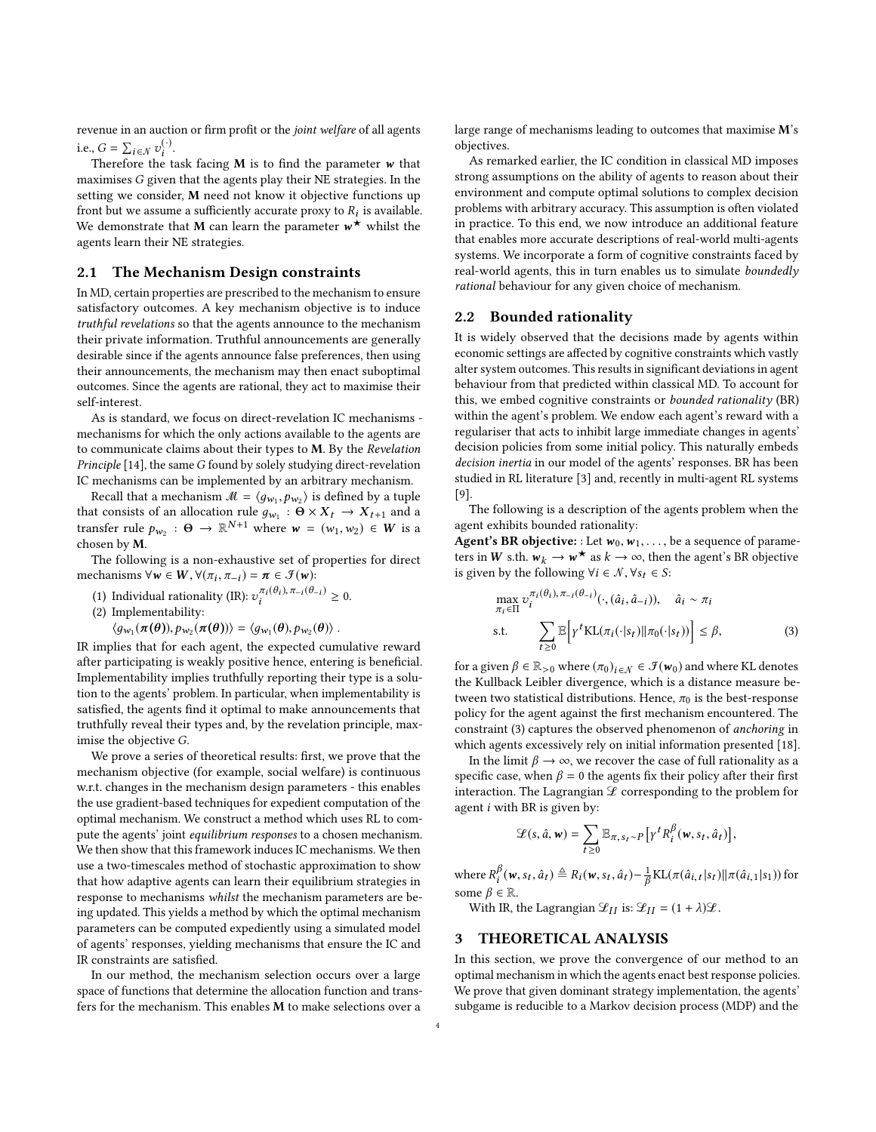revenue in an auction or firm profit or the joint welfare of all agents i.e.,  $G = \sum_{i \in \mathcal{N}} v_i^{(\cdot)}$ .<br>Therefore the t

,  $G = \sum_{i \in \mathcal{N}} v_i$ .<br>Therefore the task facing M is to find the parameter w that<br>wimises G given that the agents play their NE strategies. In the maximises G given that the agents play their NE strategies. In the setting we consider, M need not know it objective functions up front but we assume a sufficiently accurate proxy to  $R_i$  is available.<br>We demonstrate that **M** can learn the parameter  $w^*$  whilst the We demonstrate that **M** can learn the parameter  $w^*$  whilst the agents learn their NE strategies agents learn their NE strategies.

## 2.1 The Mechanism Design constraints

In MD, certain properties are prescribed to the mechanism to ensure satisfactory outcomes. A key mechanism objective is to induce truthful revelations so that the agents announce to the mechanism their private information. Truthful announcements are generally desirable since if the agents announce false preferences, then using their announcements, the mechanism may then enact suboptimal outcomes. Since the agents are rational, they act to maximise their self-interest.

As is standard, we focus on direct-revelation IC mechanisms mechanisms for which the only actions available to the agents are to communicate claims about their types to M. By the Revelation Principle [\[14\]](#page-6-15), the same G found by solely studying direct-revelation IC mechanisms can be implemented by an arbitrary mechanism.

Recall that a mechanism  $M = \langle g_{w_1}, p_{w_2} \rangle$  is defined by a tuple<br>of consists of an allocation rule  $g \cdot \mathbf{Q} \times \mathbf{Y} \rightarrow \mathbf{Y}$  and and a Recall that a mechanism  $m = (g_{w_1}, p_{w_2})$  is defined by a tuple<br>that consists of an allocation rule  $g_{w_1} : \Theta \times X_t \to X_{t+1}$  and a<br>transfer rule  $h_{w_1} : \Theta \to \mathbb{R}^{N+1}$  where  $w = (w_1, w_2) \in W$  is a transfer rule  $p_{w_2}$ :  $\Theta \to \mathbb{R}^{N+1}$  where  $w = (w_1, w_2) \in W$  is a chosen by M chosen by M.

The following is a non-exhaustive set of properties for direct mechanisms  $\forall w \in W$ ,  $\forall (\pi_i, \pi_{-i}) = \pi \in \mathcal{F}(w)$ :<br> $\pi_i(\theta_i) = \pi_i(\theta_i)$ 

(1) Individual rationality (IR):  $v_i^{\pi_i(\theta_i), \pi_{-i}(\theta_{-i})} \ge 0$ .<br>(2) Implementability:

(2) Implementability:

 $\langle g_{w_1}(\pi(\theta)), p_{w_2}(\pi(\theta)) \rangle = \langle g_{w_1}(\theta), p_{w_2}(\theta) \rangle.$ 

IR implies that for each agent, the expected cumulative reward after participating is weakly positive hence, entering is beneficial. Implementability implies truthfully reporting their type is a solution to the agents' problem. In particular, when implementability is satisfied, the agents find it optimal to make announcements that truthfully reveal their types and, by the revelation principle, maximise the objective G.

We prove a series of theoretical results: first, we prove that the mechanism objective (for example, social welfare) is continuous w.r.t. changes in the mechanism design parameters - this enables the use gradient-based techniques for expedient computation of the optimal mechanism. We construct a method which uses RL to compute the agents' joint equilibrium responses to a chosen mechanism. We then show that this framework induces IC mechanisms. We then use a two-timescales method of stochastic approximation to show that how adaptive agents can learn their equilibrium strategies in response to mechanisms whilst the mechanism parameters are being updated. This yields a method by which the optimal mechanism parameters can be computed expediently using a simulated model of agents' responses, yielding mechanisms that ensure the IC and IR constraints are satisfied.

In our method, the mechanism selection occurs over a large space of functions that determine the allocation function and transfers for the mechanism. This enables M to make selections over a

large range of mechanisms leading to outcomes that maximise M's objectives.

As remarked earlier, the IC condition in classical MD imposes strong assumptions on the ability of agents to reason about their environment and compute optimal solutions to complex decision problems with arbitrary accuracy. This assumption is often violated in practice. To this end, we now introduce an additional feature that enables more accurate descriptions of real-world multi-agents systems. We incorporate a form of cognitive constraints faced by real-world agents, this in turn enables us to simulate boundedly rational behaviour for any given choice of mechanism.

## 2.2 Bounded rationality

It is widely observed that the decisions made by agents within economic settings are affected by cognitive constraints which vastly alter system outcomes. This results in significant deviations in agent behaviour from that predicted within classical MD. To account for this, we embed cognitive constraints or bounded rationality (BR) within the agent's problem. We endow each agent's reward with a regulariser that acts to inhibit large immediate changes in agents' decision policies from some initial policy. This naturally embeds decision inertia in our model of the agents' responses. BR has been studied in RL literature [\[3\]](#page-6-16) and, recently in multi-agent RL systems [\[9\]](#page-6-17).

The following is a description of the agents problem when the agent exhibits bounded rationality:

Agent's BR objective: : Let  $w_0, w_1, \ldots$ , be a sequence of parameters in W s.th.  $w_k \to w^*$  as  $k \to \infty$ , then the agent's BR objective<br>is given by the following  $\forall i \in \mathbb{N}$ ,  $\forall s_i \in S$ . is given by the following  $\forall i \in \mathcal{N}, \forall s_i \in S$ :

<span id="page-3-0"></span>
$$
\max_{\pi_i \in \Pi} \upsilon_i^{\pi_i(\theta_i), \pi_{-i}(\theta_{-i})}(\cdot, (\hat{a}_i, \hat{a}_{-i})), \quad \hat{a}_i \sim \pi_i
$$
\ns.t.\n
$$
\sum_{t \ge 0} \mathbb{E} \Big[ \gamma^t \text{KL}(\pi_i(\cdot | s_t) || \pi_0(\cdot | s_t)) \Big] \le \beta,
$$
\n(3)

for a given  $\beta \in \mathbb{R}_{>0}$  where  $(\pi_0)_{i \in \mathcal{N}} \in \mathcal{F}(w_0)$  and where KL denotes the Kullback Leibler divergence, which is a distance measure between two statistical distributions. Hence,  $\pi_0$  is the best-response policy for the agent against the first mechanism encountered. The constraint [\(3\)](#page-3-0) captures the observed phenomenon of anchoring in which agents excessively rely on initial information presented [\[18\]](#page-6-18).

In the limit  $\beta \rightarrow \infty$ , we recover the case of full rationality as a specific case, when  $\beta = 0$  the agents fix their policy after their first interaction. The Lagrangian  $\mathscr L$  corresponding to the problem for agent  $i$  with BR is given by:

$$
\mathcal{L}(s,\hat{a},\mathbf{w}) = \sum_{t\geq 0} \mathbb{E}_{\pi,s_t\sim P} \big[ \gamma^t R_i^{\beta}(\mathbf{w},s_t,\hat{a}_t) \big],
$$

where  $R_i^{\beta}$   $(\mathbf{w}, s_t, \hat{a}_t) \triangleq R_i(\mathbf{w}, s_t, \hat{a}_t) - \frac{1}{\beta} \text{KL}(\pi(\hat{a}_{i, t} | s_t) || \pi(\hat{a}_{i, 1} | s_1))$  for some  $\beta \in \mathbb{R}$ some  $\beta \in \mathbb{R}$ .<br>With IP 1

With IR, the Lagrangian  $\mathcal{L}_{II}$  is:  $\mathcal{L}_{II} = (1 + \lambda)\mathcal{L}$ .

#### 3 THEORETICAL ANALYSIS

In this section, we prove the convergence of our method to an optimal mechanism in which the agents enact best response policies. We prove that given dominant strategy implementation, the agents' subgame is reducible to a Markov decision process (MDP) and the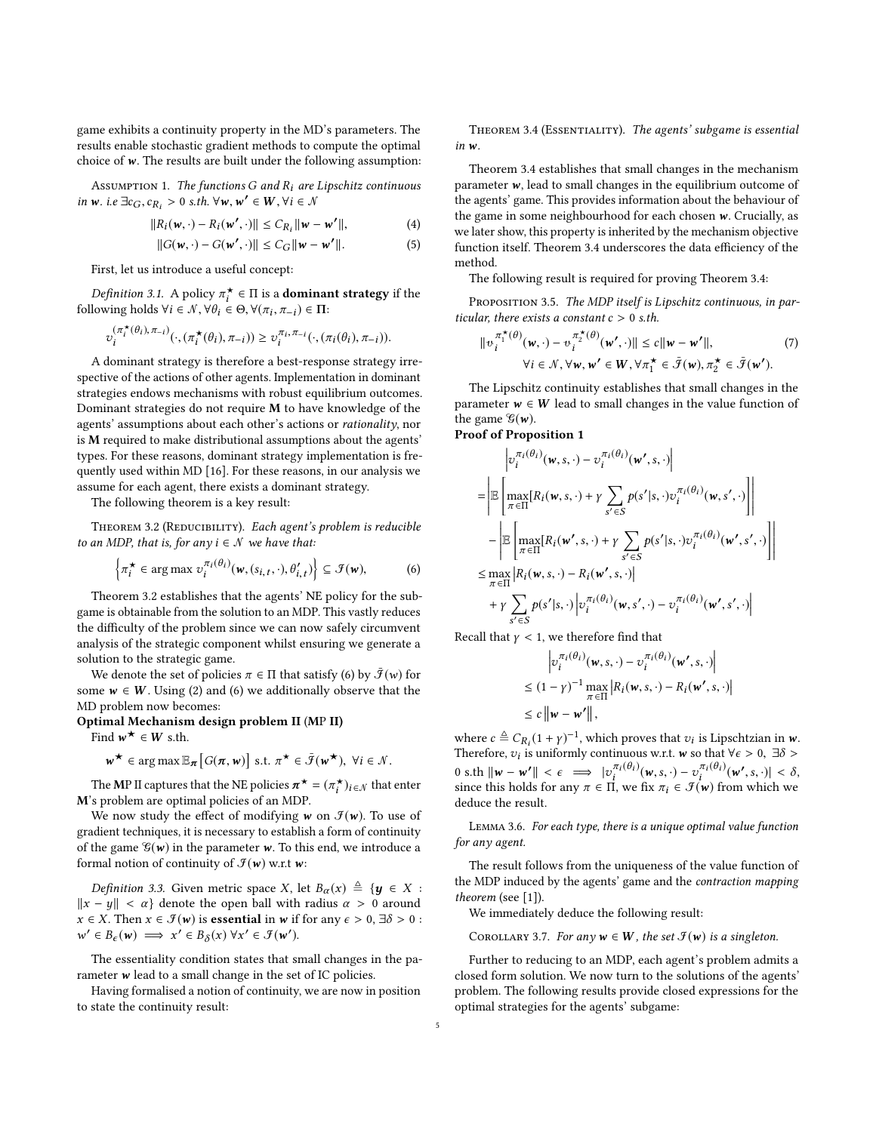game exhibits a continuity property in the MD's parameters. The results enable stochastic gradient methods to compute the optimal choice of  $w$ . The results are built under the following assumption:

ASSUMPTION 1. The functions G and  $R_i$  are Lipschitz continuous in w. i.e  $\exists c_G, c_{R_i} > 0$  s.th.  $\forall w, w' \in W, \forall i \in \mathcal{N}$ 

$$
||R_i(\mathbf{w}, \cdot) - R_i(\mathbf{w}', \cdot)|| \leq C_{R_i} ||\mathbf{w} - \mathbf{w}'||, \tag{4}
$$

$$
||G(\mathbf{w},\cdot)-G(\mathbf{w'},\cdot)|| \leq C_G||\mathbf{w}-\mathbf{w'}||. \tag{5}
$$

First, let us introduce a useful concept:

*Definition 3.1.* A policy  $\pi_t^*$  ∈ Π is a **dominant strategy** if the lowing holds  $\forall i \in \mathcal{N}$ ,  $\forall \theta_i \in \Theta$ ,  $\forall (\pi, \pi_i) \in \Pi$ . following holds  $\forall i \in \mathcal{N}, \forall \theta_i \in \Theta, \forall (\pi_i, \pi_{-i}) \in \Pi$ :

$$
\upsilon_i^{(\pi_i^{\star}(\theta_i), \pi_{-i})}(\cdot, (\pi_i^{\star}(\theta_i), \pi_{-i})) \geq \upsilon_i^{\pi_i, \pi_{-i}}(\cdot, (\pi_i(\theta_i), \pi_{-i})).
$$

i i A dominant strategy is therefore a best-response strategy irrespective of the actions of other agents. Implementation in dominant strategies endows mechanisms with robust equilibrium outcomes. Dominant strategies do not require M to have knowledge of the agents' assumptions about each other's actions or rationality, nor is M required to make distributional assumptions about the agents' types. For these reasons, dominant strategy implementation is frequently used within MD [\[16\]](#page-6-19). For these reasons, in our analysis we assume for each agent, there exists a dominant strategy.

The following theorem is a key result:

<span id="page-4-0"></span>THEOREM 3.2 (REDUCIBILITY). Each agent's problem is reducible to an MDP, that is, for any  $i \in \mathcal{N}$  we have that:

$$
\left\{ \pi_i^{\star} \in \arg \max v_i^{\pi_i(\theta_i)}(\mathbf{w}, (s_{i,t}, \cdot), \theta'_{i,t}) \right\} \subseteq \mathcal{F}(\mathbf{w}), \tag{6}
$$

Theorem [3.2](#page-4-0) establishes that the agents' NE policy for the subgame is obtainable from the solution to an MDP. This vastly reduces the difficulty of the problem since we can now safely circumvent analysis of the strategic component whilst ensuring we generate a solution to the strategic game.

We denote the set of policies  $\pi \in \Pi$  that satisfy [\(6\)](#page-4-1) by  $\bar{\mathcal{F}}(w)$  for some  $w \in W$ . Using [\(2\)](#page-2-1) and [\(6\)](#page-4-1) we additionally observe that the MD problem now becomes:

Optimal Mechanism design problem II (MP II)

Find  $w^* \in W$  s.th.

$$
\mathbf{w}^{\star} \in \arg \max \mathbb{E}_{\boldsymbol{\pi}}\big[G(\boldsymbol{\pi},\mathbf{w})\big] \text{ s.t. } \boldsymbol{\pi}^{\star} \in \bar{\mathcal{F}}(\mathbf{w}^{\star}), \ \forall i \in \mathcal{N}.
$$

The MP II captures that the NE policies  $\pi^* = (\pi_i^*)_{i \in \mathcal{N}}$  that enter s problem are optimal policies of an MDP M's problem are optimal policies of an MDP.

We now study the effect of modifying w on  $\mathcal{F}(w)$ . To use of gradient techniques, it is necessary to establish a form of continuity of the game  $\mathcal{C}(w)$  in the parameter w. To this end, we introduce a formal notion of continuity of  $\mathcal{F}(w)$  w.r.t w:

*Definition 3.3.* Given metric space X, let  $B_{\alpha}(x) \triangleq {\bf y} \in X$ :  $||x - y|| < \alpha$  denote the open ball with radius  $\alpha > 0$  around  $x \in X$ . Then  $x \in \mathcal{F}(w)$  is **essential** in w if for any  $\epsilon > 0$ ,  $\exists \delta > 0$ :  $w' \in B_{\epsilon}(w) \implies x' \in B_{\delta}(x) \,\forall x' \in \mathcal{F}(w').$ 

The essentiality condition states that small changes in the parameter w lead to a small change in the set of IC policies.

<span id="page-4-2"></span>Having formalised a notion of continuity, we are now in position to state the continuity result:

THEOREM 3.4 (ESSENTIALITY). The agents' subgame is essential in w.

Theorem [3.4](#page-4-2) establishes that small changes in the mechanism parameter  $w$ , lead to small changes in the equilibrium outcome of the agents' game. This provides information about the behaviour of the game in some neighbourhood for each chosen  $w$ . Crucially, as we later show, this property is inherited by the mechanism objective function itself. Theorem [3.4](#page-4-2) underscores the data efficiency of the method.

The following result is required for proving Theorem [3.4:](#page-4-2)

PROPOSITION 3.5. The MDP itself is Lipschitz continuous, in particular, there exists a constant  $c > 0$  s.th.

$$
\|v_i^{\pi_\mathbf{1}^{\star}(\theta)}(\mathbf{w},\cdot)-v_i^{\pi_\mathbf{2}^{\star}(\theta)}(\mathbf{w}',\cdot)\| \le c \|\mathbf{w}-\mathbf{w}'\|, \forall i \in \mathcal{N}, \forall \mathbf{w}, \mathbf{w}' \in \mathbf{W}, \forall \pi_\mathbf{1}^{\star} \in \bar{\mathcal{F}}(\mathbf{w}), \pi_\mathbf{2}^{\star} \in \bar{\mathcal{F}}(\mathbf{w}').
$$
\n(7)

The Lipschitz continuity establishes that small changes in the parameter  $w \in W$  lead to small changes in the value function of the game  $\mathcal{G}(w)$ .

#### Proof of Proposition 1

$$
\begin{aligned}\n&\left|\upsilon_{i}^{\pi_{i}(\theta_{i})}(\mathbf{w}, s, \cdot)-\upsilon_{i}^{\pi_{i}(\theta_{i})}(\mathbf{w}', s, \cdot)\right| \\
&=\left|\mathbb{E}\left[\max_{\pi\in\Pi}[R_{i}(\mathbf{w}, s, \cdot)+\gamma \sum_{s'\in S}p(s'|s, \cdot)\upsilon_{i}^{\pi_{i}(\theta_{i})}(\mathbf{w}, s', \cdot)\right]\right| \\
&-\left|\mathbb{E}\left[\max_{\pi\in\Pi}[R_{i}(\mathbf{w}', s, \cdot)+\gamma \sum_{s'\in S}p(s'|s, \cdot)\upsilon_{i}^{\pi_{i}(\theta_{i})}(\mathbf{w}', s', \cdot)\right]\right| \\
&\leq \max_{\pi\in\Pi}[R_{i}(\mathbf{w}, s, \cdot)-R_{i}(\mathbf{w}', s, \cdot)] \\
&+\gamma \sum_{s'\in S}p(s'|s, \cdot)\left|\upsilon_{i}^{\pi_{i}(\theta_{i})}(\mathbf{w}, s', \cdot)-\upsilon_{i}^{\pi_{i}(\theta_{i})}(\mathbf{w}', s', \cdot)\right|\n\end{aligned}
$$

<span id="page-4-1"></span>Recall that  $\gamma < 1$ , we therefore find that

$$
\left| \upsilon_i^{\pi_i(\theta_i)}(\mathbf{w}, s, \cdot) - \upsilon_i^{\pi_i(\theta_i)}(\mathbf{w}', s, \cdot) \right|
$$
  
\n
$$
\leq (1 - \gamma)^{-1} \max_{\pi \in \Pi} \left| R_i(\mathbf{w}, s, \cdot) - R_i(\mathbf{w}', s, \cdot) \right|
$$
  
\n
$$
\leq c \left\| \mathbf{w} - \mathbf{w}' \right\|,
$$

where  $c \triangleq C_{R_i}(1 + \gamma)^{-1}$ , which proves that  $v_i$  is Lipschtzian in  $w$ .<br>Therefore *sy* is uniformly continuous w.r.t. w.so that  $\forall c > 0$ ,  $\exists \delta > 0$ . Therefore,  $v_i$  is uniformly continuous w.r.t. w so that  $\forall \epsilon > 0$ ,  $\exists \delta > 0$ 0 s.th  $\|\mathbf{w} - \mathbf{w'}\| < \epsilon$  ⇒  $|v^{\pi_i(\theta_i)}(w, s, \cdot) - v^{\pi_i(\theta_i)}_i(w', s, \cdot)| < \delta$ ,<br>since this holds for any  $\pi \in \Pi$  we fix  $\pi_i \in \mathcal{I}(w)$  from which we since this holds for any  $\pi \in \Pi$ , we fix  $\pi_i \in \mathcal{F}(w)$  from which we deduce the result deduce the result.

<span id="page-4-3"></span>Lemma 3.6. For each type, there is a unique optimal value function for any agent.

The result follows from the uniqueness of the value function of the MDP induced by the agents' game and the contraction mapping theorem (see [\[1\]](#page-6-20)).

We immediately deduce the following result:

COROLLARY 3.7. For any  $w \in W$ , the set  $\mathcal{F}(w)$  is a singleton.

Further to reducing to an MDP, each agent's problem admits a closed form solution. We now turn to the solutions of the agents' problem. The following results provide closed expressions for the optimal strategies for the agents' subgame: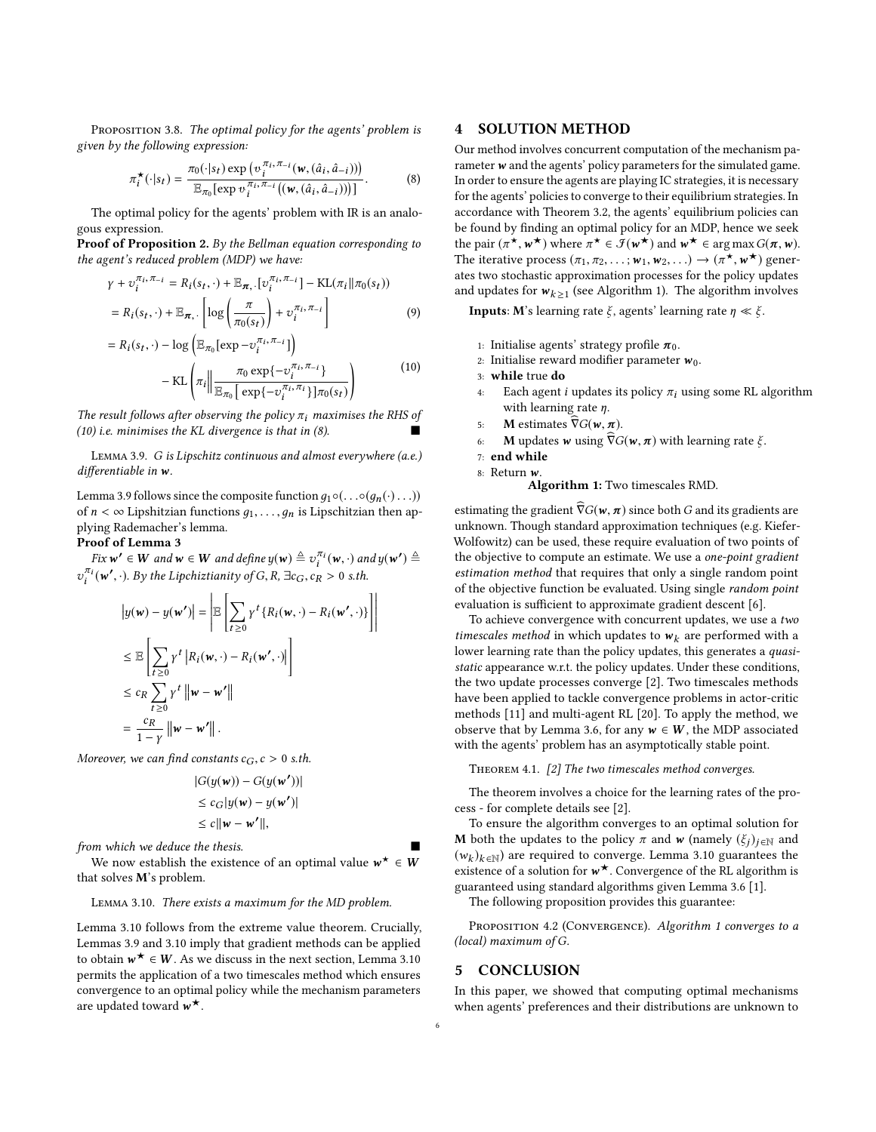PROPOSITION 3.8. The optimal policy for the agents' problem is given by the following expression:

$$
\pi_i^{\star}(\cdot|s_t) = \frac{\pi_0(\cdot|s_t) \exp\left(\upsilon_i^{\pi_i, \pi_{-i}}(\mathbf{w}, (\hat{a}_i, \hat{a}_{-i}))\right)}{\mathbb{E}_{\pi_0}[\exp\upsilon_i^{\pi_i, \pi_{-i}}((\mathbf{w}, (\hat{a}_i, \hat{a}_{-i})))]}.
$$
(8)

i The optimal policy for the agents' problem with IR is an analogous expression.

Proof of Proposition 2. By the Bellman equation corresponding to the agent's reduced problem (MDP) we have:

$$
\gamma + \upsilon_i^{\pi_i, \pi_{-i}} = R_i(s_t, \cdot) + \mathbb{E}_{\pi, \cdot} [\upsilon_i^{\pi_i, \pi_{-i}}] - \text{KL}(\pi_i || \pi_0(s_t))
$$
  
=  $R_i(s_t, \cdot) + \mathbb{E}_{\pi, \cdot} \left[ \log \left( \frac{\pi}{\pi_0(s_t)} \right) + \upsilon_i^{\pi_i, \pi_{-i}} \right]$  (9)

$$
= R_i(s_t, \cdot) - \log \left( \mathbb{E}_{\pi_0} [\exp - v_i^{\pi_i, \pi_{-i}}] \right)
$$

$$
- \text{KL} \left( \pi_i \middle\| \frac{\pi_0 \exp \{-v_i^{\pi_i, \pi_{-i}}\}}{\mathbb{E}_{\pi_0} [\exp \{-v_i^{\pi_i, \pi_i}\}] \pi_0(s_t)} \right)
$$
(10)

The result follows after observing the policy  $\pi_i$  maximises the RHS of<br>(10) i.e. minimises the KI divergence is that in (8) [\(10\)](#page-5-0) i.e. minimises the KL divergence is that in  $(8)$ .

<span id="page-5-2"></span>Lemma 3.9. G is Lipschitz continuous and almost everywhere (a.e.) differentiable in w.

Lemma [3.9](#page-5-2) follows since the composite function  $g_1 \circ (\dots \circ (g_n(\cdot) \dots))$ of  $n < \infty$  Lipshitzian functions  $q_1, \ldots, q_n$  is Lipschitzian then applying Rademacher's lemma.

#### Proof of Lemma 3

Fix  $w' \in W$  and  $w \in W$  and define  $y(w) \triangleq v_i^{\pi_i}(w, \cdot)$  and  $y(w') \triangleq$ <br> $\frac{d(u,v')}{dx'}$ . Puthe Lipebirtianity of  $C, B, \exists \alpha \in \mathbb{R}$ ,  $\alpha > 0$ , ath i  $v_i^{\pi_i}(\mathbf{w}', \cdot)$ . By the Lipchiztianity of G, R,  $\exists c_G, c_R > 0$  s.th.

$$
|y(\mathbf{w}) - y(\mathbf{w'})| = \left| \mathbb{E} \left[ \sum_{t \ge 0} \gamma^t \{ R_i(\mathbf{w}, \cdot) - R_i(\mathbf{w'}, \cdot) \} \right] \right|
$$
  
\n
$$
\le \mathbb{E} \left[ \sum_{t \ge 0} \gamma^t | R_i(\mathbf{w}, \cdot) - R_i(\mathbf{w'}, \cdot) | \right]
$$
  
\n
$$
\le c_R \sum_{t \ge 0} \gamma^t ||\mathbf{w} - \mathbf{w'}||
$$
  
\n
$$
= \frac{c_R}{1 - \gamma} ||\mathbf{w} - \mathbf{w'}||.
$$

Moreover, we can find constants  $c_G$ ,  $c > 0$  s.th.

$$
|G(y(\mathbf{w})) - G(y(\mathbf{w'}))|
$$
  
\n
$$
\leq c_G|y(\mathbf{w}) - y(\mathbf{w'})|
$$
  
\n
$$
\leq c||\mathbf{w} - \mathbf{w'}||,
$$

from which we deduce the thesis.

We now establish the existence of an optimal value  $w^* \in W$ <br>where  $\mathbf{M}$ 's problem that solves M's problem.

#### <span id="page-5-3"></span>Lemma 3.10. There exists a maximum for the MD problem.

Lemma [3.10](#page-5-3) follows from the extreme value theorem. Crucially, Lemmas [3.9](#page-5-2) and [3.10](#page-5-3) imply that gradient methods can be applied to obtain  $w^* \in W$ . As we discuss in the next section, Lemma [3.10](#page-5-3)<br>permits the application of a two timescales method which ensures permits the application of a two timescales method which ensures convergence to an optimal policy while the mechanism parameters are updated toward  $w^{\star}$ .

## 4 SOLUTION METHOD

<span id="page-5-1"></span>Our method involves concurrent computation of the mechanism parameter  $w$  and the agents' policy parameters for the simulated game. In order to ensure the agents are playing IC strategies, it is necessary for the agents' policies to converge to their equilibrium strategies. In accordance with Theorem [3.2,](#page-4-0) the agents' equilibrium policies can be found by finding an optimal policy for an MDP, hence we seek the pair  $(\pi^*, w^*)$  where  $\pi^* \in \mathcal{F}(w^*)$  and  $w^* \in \arg \max G(\pi, w)$ .<br>The iterative process  $(\pi, \pi_0, \dots, \pi_k, w^*)$ The iterative process  $(\pi_1, \pi_2, \dots; w_1, w_2, \dots) \rightarrow (\pi^{\star}, w^{\star})$  generates two stochastic approximation processes for the policy undates The iterative process  $(n_1, n_2, \ldots; w_1, w_2, \ldots) \rightarrow (n_1, w_2)$  generates two stochastic approximation processes for the policy updates and updates for  $w_{k \ge 1}$  (see Algorithm [1\)](#page-5-4). The algorithm involves

<span id="page-5-4"></span>**Inputs:** M's learning rate  $\xi$ , agents' learning rate  $\eta \ll \xi$ .

- 1: Initialise agents' strategy profile  $\pi_0$ .
- <span id="page-5-0"></span>2: Initialise reward modifier parameter  $w_0$ .
- 3: while true do
- Each agent *i* updates its policy  $\pi_i$  using some RL algorithm with learning rate  $\eta$ .
- 
- 5: **M** estimates  $\widehat{\nabla}G(w, \pi)$ .<br>6: **M** updates **w** using  $\widehat{\nabla}G$ **M** updates **w** using  $\widehat{\nabla}G(w, \pi)$  with learning rate  $\xi$ .
- 7: end while
- 8: Return w.

Algorithm 1: Two timescales RMD.

estimating the gradient  $\widehat{\nabla}G(w, \pi)$  since both G and its gradients are unknown. Though standard approximation techniques (e.g. Kiefer-Wolfowitz) can be used, these require evaluation of two points of the objective to compute an estimate. We use a one-point gradient estimation method that requires that only a single random point of the objective function be evaluated. Using single random point evaluation is sufficient to approximate gradient descent [\[6\]](#page-6-21).

To achieve convergence with concurrent updates, we use a two timescales method in which updates to  $w_k$  are performed with a lower learning rate than the policy updates, this generates a quasistatic appearance w.r.t. the policy updates. Under these conditions, the two update processes converge [\[2\]](#page-6-11). Two timescales methods have been applied to tackle convergence problems in actor-critic methods [\[11\]](#page-6-22) and multi-agent RL [\[20\]](#page-6-23). To apply the method, we observe that by Lemma [3.6,](#page-4-3) for any  $w \in W$ , the MDP associated with the agents' problem has an asymptotically stable point.

THEOREM 4.1. [\[2\]](#page-6-11) The two timescales method converges.

The theorem involves a choice for the learning rates of the process - for complete details see [\[2\]](#page-6-11).

To ensure the algorithm converges to an optimal solution for **M** both the updates to the policy  $\pi$  and **w** (namely  $(\xi_i)_{i \in \mathbb{N}}$  and  $(w_k)_{k \in \mathbb{N}}$  are required to converge. Lemma [3.10](#page-5-3) guarantees the existence of a solution for  $w^*$ . Convergence of the BI algorithm is existence of a solution for  $w^*$ . Convergence of the RL algorithm is<br>guaranteed using standard algorithms given Lemma 3.6.[1] guaranteed using standard algorithms given Lemma [3.6](#page-4-3) [\[1\]](#page-6-20).

The following proposition provides this guarantee:

PROPOSITION 4.2 (CONVERGENCE). Algorithm 1 converges to a (local) maximum of G.

#### 5 CONCLUSION

In this paper, we showed that computing optimal mechanisms when agents' preferences and their distributions are unknown to

l